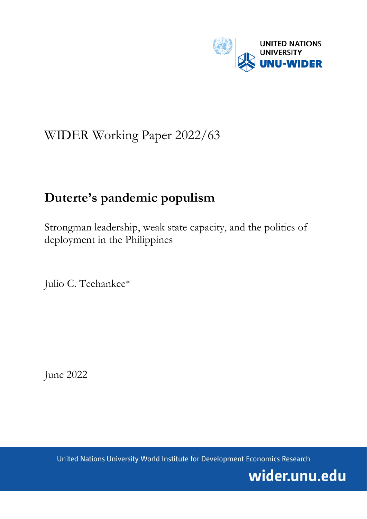

# WIDER Working Paper 2022/63

# **Duterte's pandemic populism**

Strongman leadership, weak state capacity, and the politics of deployment in the Philippines

Julio C. Teehankee\*

June 2022

United Nations University World Institute for Development Economics Research

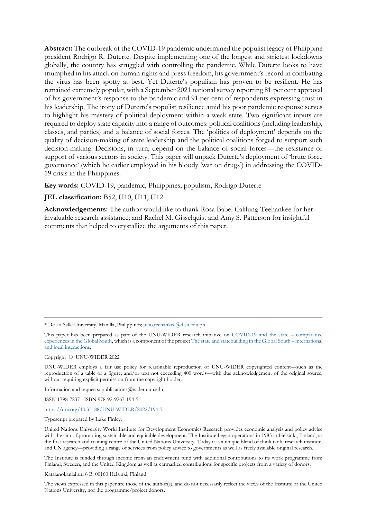**Abstract:** The outbreak of the COVID-19 pandemic undermined the populist legacy of Philippine president Rodrigo R. Duterte. Despite implementing one of the longest and strictest lockdowns globally, the country has struggled with controlling the pandemic. While Duterte looks to have triumphed in his attack on human rights and press freedom, his government's record in combating the virus has been spotty at best. Yet Duterte's populism has proven to be resilient. He has remained extremely popular, with a September 2021 national survey reporting 81 per cent approval of his government's response to the pandemic and 91 per cent of respondents expressing trust in his leadership. The irony of Duterte's populist resilience amid his poor pandemic response serves to highlight his mastery of political deployment within a weak state. Two significant inputs are required to deploy state capacity into a range of outcomes: political coalitions (including leadership, classes, and parties) and a balance of social forces. The 'politics of deployment' depends on the quality of decision-making of state leadership and the political coalitions forged to support such decision-making. Decisions, in turn, depend on the balance of social forces—the resistance or support of various sectors in society. This paper will unpack Duterte's deployment of 'brute force governance' (which he earlier employed in his bloody 'war on drugs') in addressing the COVID-19 crisis in the Philippines.

**Key words:** COVID-19, pandemic, Philippines, populism, Rodrigo Duterte

#### **JEL classification:** B52, H10, H11, H12

**Acknowledgements:** The author would like to thank Rosa Babel Calilung-Teehankee for her invaluable research assistance; and Rachel M. Gisselquist and Amy S. Patterson for insightful comments that helped to crystallize the arguments of this paper.

\* De La Salle University, Manilla, Philippines; [julio.teehankee@dlsu.edu.ph](mailto:julio.teehankee@dlsu.edu.ph)

This paper has been prepared as part of the UNU-WIDER research initiative on [COVID-19 and the state –](https://www.wider.unu.edu/node/239521) comparative [experiences in the Global South,](https://www.wider.unu.edu/node/239521) which is a component of the projec[t The state and statebuilding in the Global South –](https://www.wider.unu.edu/node/237413) international [and local interactions.](https://www.wider.unu.edu/node/237413)

Copyright © UNU-WIDER 2022

UNU-WIDER employs a fair use policy for reasonable reproduction of UNU-WIDER copyrighted content—such as the reproduction of a table or a figure, and/or text not exceeding 400 words—with due acknowledgement of the original source, without requiring explicit permission from the copyright holder.

Information and requests: publications@wider.unu.edu

ISSN 1798-7237 ISBN 978-92-9267-194-5

#### <https://doi.org/10.35188/UNU-WIDER/2022/194-5>

Typescript prepared by Luke Finley.

United Nations University World Institute for Development Economics Research provides economic analysis and policy advice with the aim of promoting sustainable and equitable development. The Institute began operations in 1985 in Helsinki, Finland, as the first research and training centre of the United Nations University. Today it is a unique blend of think tank, research institute, and UN agency—providing a range of services from policy advice to governments as well as freely available original research.

The Institute is funded through income from an endowment fund with additional contributions to its work programme from Finland, Sweden, and the United Kingdom as well as earmarked contributions for specific projects from a variety of donors.

Katajanokanlaituri 6 B, 00160 Helsinki, Finland

The views expressed in this paper are those of the author(s), and do not necessarily reflect the views of the Institute or the United Nations University, nor the programme/project donors.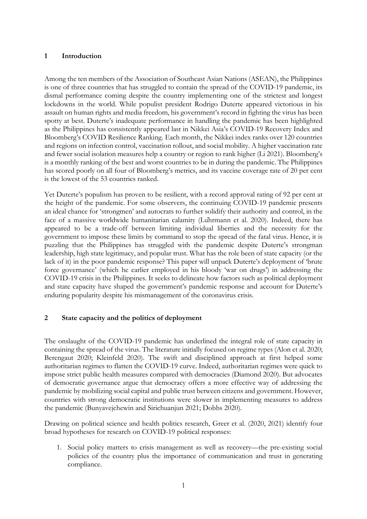### **1 Introduction**

Among the ten members of the Association of Southeast Asian Nations (ASEAN), the Philippines is one of three countries that has struggled to contain the spread of the COVID-19 pandemic, its dismal performance coming despite the country implementing one of the strictest and longest lockdowns in the world. While populist president Rodrigo Duterte appeared victorious in his assault on human rights and media freedom, his government's record in fighting the virus has been spotty at best. Duterte's inadequate performance in handling the pandemic has been highlighted as the Philippines has consistently appeared last in Nikkei Asia's COVID-19 Recovery Index and Bloomberg's COVID Resilience Ranking. Each month, the Nikkei index ranks over 120 countries and regions on infection control, vaccination rollout, and social mobility. A higher vaccination rate and fewer social isolation measures help a country or region to rank higher (Li 2021). Bloomberg's is a monthly ranking of the best and worst countries to be in during the pandemic. The Philippines has scored poorly on all four of Bloomberg's metrics, and its vaccine coverage rate of 20 per cent is the lowest of the 53 countries ranked.

Yet Duterte's populism has proven to be resilient, with a record approval rating of 92 per cent at the height of the pandemic. For some observers, the continuing COVID-19 pandemic presents an ideal chance for 'strongmen' and autocrats to further solidify their authority and control, in the face of a massive worldwide humanitarian calamity (Lührmann et al. 2020). Indeed, there has appeared to be a trade-off between limiting individual liberties and the necessity for the government to impose these limits by command to stop the spread of the fatal virus. Hence, it is puzzling that the Philippines has struggled with the pandemic despite Duterte's strongman leadership, high state legitimacy, and popular trust. What has the role been of state capacity (or the lack of it) in the poor pandemic response? This paper will unpack Duterte's deployment of 'brute force governance' (which he earlier employed in his bloody 'war on drugs') in addressing the COVID-19 crisis in the Philippines. It seeks to delineate how factors such as political deployment and state capacity have shaped the government's pandemic response and account for Duterte's enduring popularity despite his mismanagement of the coronavirus crisis.

# **2 State capacity and the politics of deployment**

The onslaught of the COVID-19 pandemic has underlined the integral role of state capacity in containing the spread of the virus. The literature initially focused on regime types (Alon et al. 2020; Berengaut 2020; Kleinfeld 2020). The swift and disciplined approach at first helped some authoritarian regimes to flatten the COVID-19 curve. Indeed, authoritarian regimes were quick to impose strict public health measures compared with democracies (Diamond 2020). But advocates of democratic governance argue that democracy offers a more effective way of addressing the pandemic by mobilizing social capital and public trust between citizens and government. However, countries with strong democratic institutions were slower in implementing measures to address the pandemic (Bunyavejchewin and Sirichuanjun 2021; Dobbs 2020).

Drawing on political science and health politics research, Greer et al. (2020, 2021) identify four broad hypotheses for research on COVID-19 political responses:

1. Social policy matters to crisis management as well as recovery—the pre-existing social policies of the country plus the importance of communication and trust in generating compliance.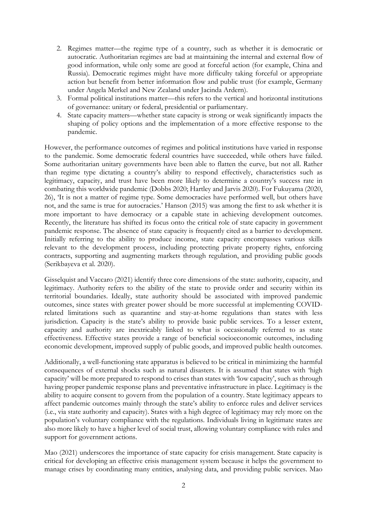- 2. Regimes matter—the regime type of a country, such as whether it is democratic or autocratic. Authoritarian regimes are bad at maintaining the internal and external flow of good information, while only some are good at forceful action (for example, China and Russia). Democratic regimes might have more difficulty taking forceful or appropriate action but benefit from better information flow and public trust (for example, Germany under Angela Merkel and New Zealand under Jacinda Ardern).
- 3. Formal political institutions matter—this refers to the vertical and horizontal institutions of governance: unitary or federal, presidential or parliamentary.
- 4. State capacity matters—whether state capacity is strong or weak significantly impacts the shaping of policy options and the implementation of a more effective response to the pandemic.

However, the performance outcomes of regimes and political institutions have varied in response to the pandemic. Some democratic federal countries have succeeded, while others have failed. Some authoritarian unitary governments have been able to flatten the curve, but not all. Rather than regime type dictating a country's ability to respond effectively, characteristics such as legitimacy, capacity, and trust have been more likely to determine a country's success rate in combating this worldwide pandemic (Dobbs 2020; Hartley and Jarvis 2020). For Fukuyama (2020, 26), 'It is not a matter of regime type. Some democracies have performed well, but others have not, and the same is true for autocracies.' Hanson (2015) was among the first to ask whether it is more important to have democracy or a capable state in achieving development outcomes. Recently, the literature has shifted its focus onto the critical role of state capacity in government pandemic response. The absence of state capacity is frequently cited as a barrier to development. Initially referring to the ability to produce income, state capacity encompasses various skills relevant to the development process, including protecting private property rights, enforcing contracts, supporting and augmenting markets through regulation, and providing public goods (Serikbayeva et al. 2020).

Gisselquist and Vaccaro (2021) identify three core dimensions of the state: authority, capacity, and legitimacy. Authority refers to the ability of the state to provide order and security within its territorial boundaries. Ideally, state authority should be associated with improved pandemic outcomes, since states with greater power should be more successful at implementing COVIDrelated limitations such as quarantine and stay-at-home regulations than states with less jurisdiction. Capacity is the state's ability to provide basic public services. To a lesser extent, capacity and authority are inextricably linked to what is occasionally referred to as state effectiveness. Effective states provide a range of beneficial socioeconomic outcomes, including economic development, improved supply of public goods, and improved public health outcomes.

Additionally, a well-functioning state apparatus is believed to be critical in minimizing the harmful consequences of external shocks such as natural disasters. It is assumed that states with 'high capacity' will be more prepared to respond to crises than states with 'low capacity', such as through having proper pandemic response plans and preventative infrastructure in place. Legitimacy is the ability to acquire consent to govern from the population of a country. State legitimacy appears to affect pandemic outcomes mainly through the state's ability to enforce rules and deliver services (i.e., via state authority and capacity). States with a high degree of legitimacy may rely more on the population's voluntary compliance with the regulations. Individuals living in legitimate states are also more likely to have a higher level of social trust, allowing voluntary compliance with rules and support for government actions.

Mao (2021) underscores the importance of state capacity for crisis management. State capacity is critical for developing an effective crisis management system because it helps the government to manage crises by coordinating many entities, analysing data, and providing public services. Mao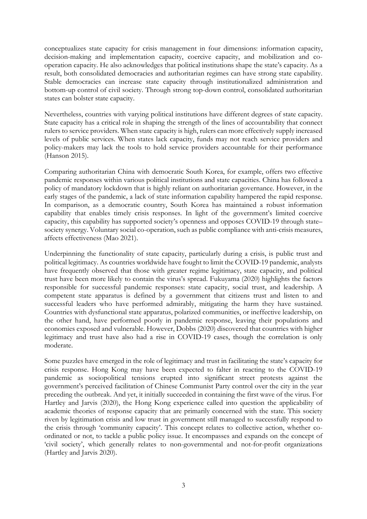conceptualizes state capacity for crisis management in four dimensions: information capacity, decision-making and implementation capacity, coercive capacity, and mobilization and cooperation capacity. He also acknowledges that political institutions shape the state's capacity. As a result, both consolidated democracies and authoritarian regimes can have strong state capability. Stable democracies can increase state capacity through institutionalized administration and bottom-up control of civil society. Through strong top-down control, consolidated authoritarian states can bolster state capacity.

Nevertheless, countries with varying political institutions have different degrees of state capacity. State capacity has a critical role in shaping the strength of the lines of accountability that connect rulers to service providers. When state capacity is high, rulers can more effectively supply increased levels of public services. When states lack capacity, funds may not reach service providers and policy-makers may lack the tools to hold service providers accountable for their performance (Hanson 2015).

Comparing authoritarian China with democratic South Korea, for example, offers two effective pandemic responses within various political institutions and state capacities. China has followed a policy of mandatory lockdown that is highly reliant on authoritarian governance. However, in the early stages of the pandemic, a lack of state information capability hampered the rapid response. In comparison, as a democratic country, South Korea has maintained a robust information capability that enables timely crisis responses. In light of the government's limited coercive capacity, this capability has supported society's openness and opposes COVID-19 through state– society synergy. Voluntary social co-operation, such as public compliance with anti-crisis measures, affects effectiveness (Mao 2021).

Underpinning the functionality of state capacity, particularly during a crisis, is public trust and political legitimacy. As countries worldwide have fought to limit the COVID-19 pandemic, analysts have frequently observed that those with greater regime legitimacy, state capacity, and political trust have been more likely to contain the virus's spread. Fukuyama (2020) highlights the factors responsible for successful pandemic responses: state capacity, social trust, and leadership. A competent state apparatus is defined by a government that citizens trust and listen to and successful leaders who have performed admirably, mitigating the harm they have sustained. Countries with dysfunctional state apparatus, polarized communities, or ineffective leadership, on the other hand, have performed poorly in pandemic response, leaving their populations and economies exposed and vulnerable. However, Dobbs (2020) discovered that countries with higher legitimacy and trust have also had a rise in COVID-19 cases, though the correlation is only moderate.

Some puzzles have emerged in the role of legitimacy and trust in facilitating the state's capacity for crisis response. Hong Kong may have been expected to falter in reacting to the COVID-19 pandemic as sociopolitical tensions erupted into significant street protests against the government's perceived facilitation of Chinese Communist Party control over the city in the year preceding the outbreak. And yet, it initially succeeded in containing the first wave of the virus. For Hartley and Jarvis (2020), the Hong Kong experience called into question the applicability of academic theories of response capacity that are primarily concerned with the state. This society riven by legitimation crisis and low trust in government still managed to successfully respond to the crisis through 'community capacity'. This concept relates to collective action, whether coordinated or not, to tackle a public policy issue. It encompasses and expands on the concept of 'civil society', which generally relates to non-governmental and not-for-profit organizations (Hartley and Jarvis 2020).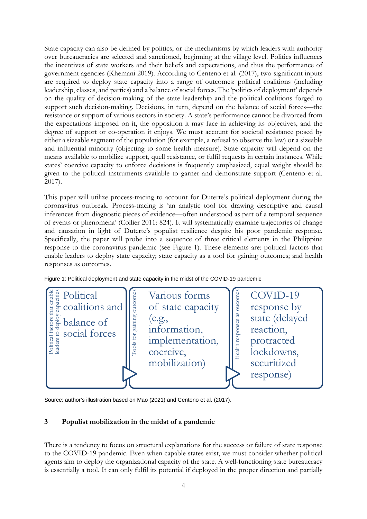State capacity can also be defined by politics, or the mechanisms by which leaders with authority over bureaucracies are selected and sanctioned, beginning at the village level. Politics influences the incentives of state workers and their beliefs and expectations, and thus the performance of government agencies (Khemani 2019). According to Centeno et al. (2017), two significant inputs are required to deploy state capacity into a range of outcomes: political coalitions (including leadership, classes, and parties) and a balance of social forces. The 'politics of deployment' depends on the quality of decision-making of the state leadership and the political coalitions forged to support such decision-making. Decisions, in turn, depend on the balance of social forces—the resistance or support of various sectors in society. A state's performance cannot be divorced from the expectations imposed on it, the opposition it may face in achieving its objectives, and the degree of support or co-operation it enjoys. We must account for societal resistance posed by either a sizeable segment of the population (for example, a refusal to observe the law) or a sizeable and influential minority (objecting to some health measure). State capacity will depend on the means available to mobilize support, quell resistance, or fulfil requests in certain instances. While states' coercive capacity to enforce decisions is frequently emphasized, equal weight should be given to the political instruments available to garner and demonstrate support (Centeno et al. 2017).

This paper will utilize process-tracing to account for Duterte's political deployment during the coronavirus outbreak. Process-tracing is 'an analytic tool for drawing descriptive and causal inferences from diagnostic pieces of evidence—often understood as part of a temporal sequence of events or phenomena' (Collier 2011: 824). It will systematically examine trajectories of change and causation in light of Duterte's populist resilience despite his poor pandemic response. Specifically, the paper will probe into a sequence of three critical elements in the Philippine response to the coronavirus pandemic (see Figure 1). These elements are: political factors that enable leaders to deploy state capacity; state capacity as a tool for gaining outcomes; and health responses as outcomes.



Figure 1: Political deployment and state capacity in the midst of the COVID-19 pandemic

Source: author's illustration based on Mao (2021) and Centeno et al. (2017).

#### **3 Populist mobilization in the midst of a pandemic**

There is a tendency to focus on structural explanations for the success or failure of state response to the COVID-19 pandemic. Even when capable states exist, we must consider whether political agents aim to deploy the organizational capacity of the state. A well-functioning state bureaucracy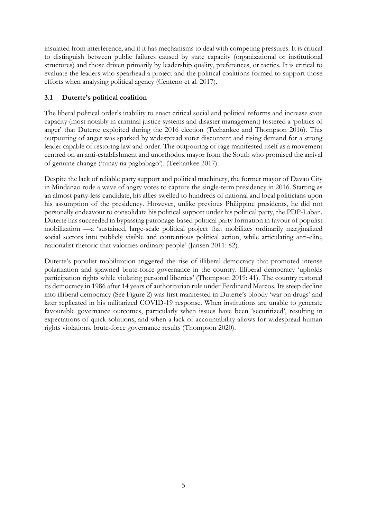insulated from interference, and if it has mechanisms to deal with competing pressures. It is critical to distinguish between public failures caused by state capacity (organizational or institutional structures) and those driven primarily by leadership quality, preferences, or tactics. It is critical to evaluate the leaders who spearhead a project and the political coalitions formed to support those efforts when analysing political agency (Centeno et al. 2017).

# **3.1 Duterte's political coalition**

The liberal political order's inability to enact critical social and political reforms and increase state capacity (most notably in criminal justice systems and disaster management) fostered a 'politics of anger' that Duterte exploited during the 2016 election (Teehankee and Thompson 2016). This outpouring of anger was sparked by widespread voter discontent and rising demand for a strong leader capable of restoring law and order. The outpouring of rage manifested itself as a movement centred on an anti-establishment and unorthodox mayor from the South who promised the arrival of genuine change ('tunay na pagbabago'). (Teehankee 2017).

Despite the lack of reliable party support and political machinery, the former mayor of Davao City in Mindanao rode a wave of angry votes to capture the single-term presidency in 2016. Starting as an almost party-less candidate, his allies swelled to hundreds of national and local politicians upon his assumption of the presidency. However, unlike previous Philippine presidents, he did not personally endeavour to consolidate his political support under his political party, the PDP-Laban. Duterte has succeeded in bypassing patronage-based political party formation in favour of populist mobilization —a 'sustained, large-scale political project that mobilizes ordinarily marginalized social sectors into publicly visible and contentious political action, while articulating anti-elite, nationalist rhetoric that valorizes ordinary people' (Jansen 2011: 82).

Duterte's populist mobilization triggered the rise of illiberal democracy that promoted intense polarization and spawned brute-force governance in the country. Illiberal democracy 'upholds participation rights while violating personal liberties' (Thompson 2019: 41). The country restored its democracy in 1986 after 14 years of authoritarian rule under Ferdinand Marcos. Its steep decline into illiberal democracy (See Figure 2) was first manifested in Duterte's bloody 'war on drugs' and later replicated in his militarized COVID-19 response. When institutions are unable to generate favourable governance outcomes, particularly when issues have been 'securitized', resulting in expectations of quick solutions, and when a lack of accountability allows for widespread human rights violations, brute-force governance results (Thompson 2020).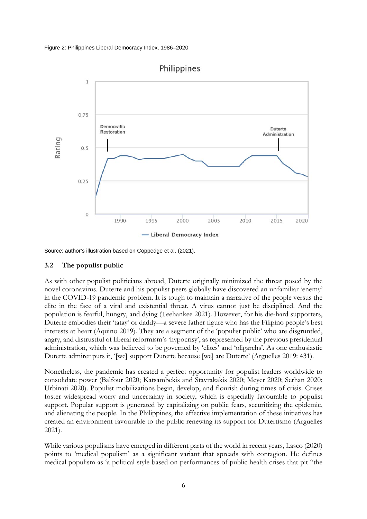



Source: author's illustration based on Coppedge et al. (2021).

#### **3.2 The populist public**

As with other populist politicians abroad, Duterte originally minimized the threat posed by the novel coronavirus. Duterte and his populist peers globally have discovered an unfamiliar 'enemy' in the COVID-19 pandemic problem. It is tough to maintain a narrative of the people versus the elite in the face of a viral and existential threat. A virus cannot just be disciplined. And the population is fearful, hungry, and dying (Teehankee 2021). However, for his die-hard supporters, Duterte embodies their 'tatay' or daddy—a severe father figure who has the Filipino people's best interests at heart (Aquino 2019). They are a segment of the 'populist public' who are disgruntled, angry, and distrustful of liberal reformism's 'hypocrisy', as represented by the previous presidential administration, which was believed to be governed by 'elites' and 'oligarchs'. As one enthusiastic Duterte admirer puts it, '[we] support Duterte because [we] are Duterte' (Arguelles 2019: 431).

Nonetheless, the pandemic has created a perfect opportunity for populist leaders worldwide to consolidate power (Balfour 2020; Katsambekis and Stavrakakis 2020; Meyer 2020; Serhan 2020; Urbinati 2020). Populist mobilizations begin, develop, and flourish during times of crisis. Crises foster widespread worry and uncertainty in society, which is especially favourable to populist support. Popular support is generated by capitalizing on public fears, securitizing the epidemic, and alienating the people. In the Philippines, the effective implementation of these initiatives has created an environment favourable to the public renewing its support for Dutertismo (Arguelles 2021).

While various populisms have emerged in different parts of the world in recent years, Lasco (2020) points to 'medical populism' as a significant variant that spreads with contagion. He defines medical populism as 'a political style based on performances of public health crises that pit "the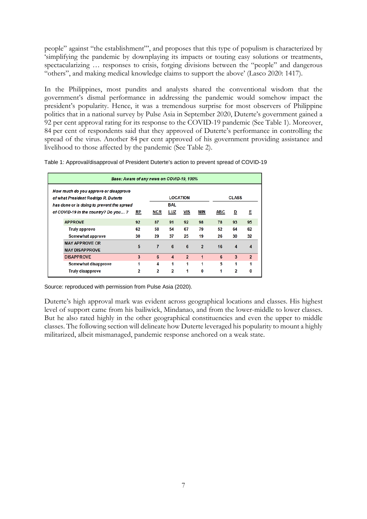people" against "the establishment"', and proposes that this type of populism is characterized by 'simplifying the pandemic by downplaying its impacts or touting easy solutions or treatments, spectacularizing … responses to crisis, forging divisions between the "people" and dangerous "others", and making medical knowledge claims to support the above' (Lasco 2020: 1417).

In the Philippines, most pundits and analysts shared the conventional wisdom that the government's dismal performance in addressing the pandemic would somehow impact the president's popularity. Hence, it was a tremendous surprise for most observers of Philippine politics that in a national survey by Pulse Asia in September 2020, Duterte's government gained a 92 per cent approval rating for its response to the COVID-19 pandemic (See Table 1). Moreover, 84 per cent of respondents said that they approved of Duterte's performance in controlling the spread of the virus. Another 84 per cent approved of his government providing assistance and livelihood to those affected by the pandemic (See Table 2).

| Base: Aware of any news on COVID-19, 100%                                     |           |            |                 |                |                |            |                  |                |  |  |
|-------------------------------------------------------------------------------|-----------|------------|-----------------|----------------|----------------|------------|------------------|----------------|--|--|
| How much do you approve or disapprove<br>of what President Rodrigo R. Duterte |           |            | <b>LOCATION</b> | <b>CLASS</b>   |                |            |                  |                |  |  |
| has done or is doing to prevent the spread                                    |           |            | <b>BAL</b>      |                |                |            |                  |                |  |  |
| of COVID-19 in the country? Do you?                                           | <u>RP</u> | <b>NCR</b> | LUZ             | <b>VIS</b>     | MIN            | <b>ABC</b> | D                | E              |  |  |
| <b>APPROVE</b>                                                                | 92        | 87         | 91              | 92             | 98             | 78         | 93               | 95             |  |  |
| <b>Truly approve</b>                                                          | 62        | 58         | 54              | 67             | 79             | 52         | 64               | 62             |  |  |
| Somewhat approve                                                              | 30        | 29         | 37              | 25             | 19             | 26         | 30               | 32             |  |  |
| <b>MAY APPROVE OR</b><br><b>MAY DISAPPROVE</b>                                | 5         | 7          | 6               | 6              | $\overline{2}$ | 16         | $\boldsymbol{4}$ | 4              |  |  |
| <b>DISAPPROVE</b>                                                             | 3         | 6          | $\overline{4}$  | $\overline{2}$ | 1              | 6          | 3                | $\overline{2}$ |  |  |
| Somewhat disapprove                                                           | 1         | 4          | 1               | 1              | 1              | 5          | 1                |                |  |  |
| <b>Truly disapprove</b>                                                       | 2         | 2          | $\overline{2}$  | 1              | $\mathbf{0}$   | 1          | $\overline{2}$   | 0              |  |  |

Source: reproduced with permission from Pulse Asia (2020).

Duterte's high approval mark was evident across geographical locations and classes. His highest level of support came from his bailiwick, Mindanao, and from the lower-middle to lower classes. But he also rated highly in the other geographical constituencies and even the upper to middle classes. The following section will delineate how Duterte leveraged his popularity to mount a highly militarized, albeit mismanaged, pandemic response anchored on a weak state.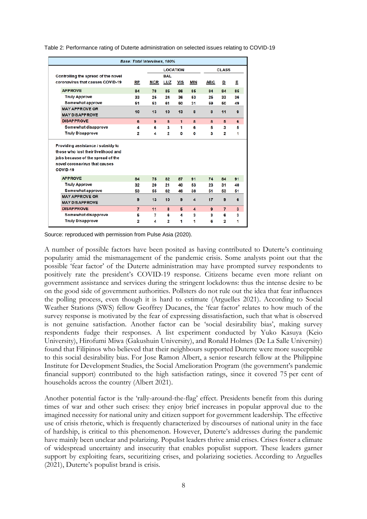|                                                | <b>Base: Total Interviews, 100%</b> |                 |                         |              |                         |              |                         |              |
|------------------------------------------------|-------------------------------------|-----------------|-------------------------|--------------|-------------------------|--------------|-------------------------|--------------|
|                                                |                                     | <b>LOCATION</b> |                         |              |                         | <b>CLASS</b> |                         |              |
| Controlling the spread of the novel            |                                     |                 | <b>BAL</b>              |              |                         |              |                         |              |
| coronavirus that causes COVID-19               | RP                                  | <b>NCR</b>      | LUZ                     | <b>VIS</b>   | <b>MIN</b>              | <b>ABC</b>   | ₫                       | Е            |
| <b>APPROVE</b>                                 | 84                                  | 78              | 85                      | 86           | 85                      | 84           | 84                      | 85           |
| <b>Truly Approve</b>                           | 33                                  | 25              | 24                      | 36           | 53                      | 25           | 33                      | 36           |
| Somewhat approve                               | 51                                  | 53              | 61                      | 50           | 31                      | 59           | 50                      | 49           |
| <b>MAY APPROVE OR</b><br><b>MAY DISAPPROVE</b> | 10                                  | 13              | 10                      | 13           | 8                       | 8            | 11                      | $\mathbf{9}$ |
| <b>DISAPPROVE</b>                              | 6                                   | 9               | 5                       | $\mathbf{1}$ | 8                       | 8            | 5                       | 6            |
| Somewhat disapprove                            | 4                                   | 6               | 3                       | 1            | 6                       | 5            | 3                       | 5            |
| <b>Truly Disapprove</b>                        | $\mathbf{2}$                        | 4               | $\overline{2}$          | $\bullet$    | O                       | 3            | $\overline{\mathbf{2}}$ | 1            |
| Providing assistance / subsidy to              |                                     |                 |                         |              |                         |              |                         |              |
| those who lost their livelihood and            |                                     |                 |                         |              |                         |              |                         |              |
| jobs because of the spread of the              |                                     |                 |                         |              |                         |              |                         |              |
| novel coronavirus that causes                  |                                     |                 |                         |              |                         |              |                         |              |
| COVID-19                                       |                                     |                 |                         |              |                         |              |                         |              |
| <b>APPROVE</b>                                 | 84                                  | 75              | 82                      | 87           | 91                      | 74           | 84                      | 91           |
| <b>Truly Approve</b>                           | 32                                  | 20              | 21                      | 40           | 53                      | 23           | 31                      | 40           |
| <b>Somewhat approve</b>                        | 53                                  | 55              | 62                      | 46           | 38                      | 51           | 53                      | 51           |
| <b>MAY APPROVE OR</b>                          | 9                                   | 13              | 10                      | 9            | $\overline{\mathbf{4}}$ | 17           | 9                       | 6            |
| <b>MAY DISAPPROVE</b>                          |                                     |                 |                         |              |                         |              |                         |              |
| <b>DISAPPROVE</b>                              | $\overline{7}$                      | 11              | 8                       | 5            | $\overline{\mathbf{4}}$ | 9            | $\overline{7}$          | 3            |
| Somewhat disapprove                            | 5                                   | 7               | 6                       | 4            | 3                       | 3            | 6                       | 3            |
| <b>Truly Disapprove</b>                        | 2                                   | 4               | $\overline{\mathbf{2}}$ | 1            | 1                       | 6            | 2                       | 1            |

Table 2: Performance rating of Duterte administration on selected issues relating to COVID-19

Source: reproduced with permission from Pulse Asia (2020).

A number of possible factors have been posited as having contributed to Duterte's continuing popularity amid the mismanagement of the pandemic crisis. Some analysts point out that the possible 'fear factor' of the Duterte administration may have prompted survey respondents to positively rate the president's COVID-19 response. Citizens became even more reliant on government assistance and services during the stringent lockdowns: thus the intense desire to be on the good side of government authorities. Pollsters do not rule out the idea that fear influences the polling process, even though it is hard to estimate (Arguelles 2021). According to Social Weather Stations (SWS) fellow Geoffrey Ducanes, the 'fear factor' relates to how much of the survey response is motivated by the fear of expressing dissatisfaction, such that what is observed is not genuine satisfaction. Another factor can be 'social desirability bias', making survey respondents fudge their responses. A list experiment conducted by Yuko Kasuya (Keio University), Hirofumi Miwa (Gakushuin University), and Ronald Holmes (De La Salle University) found that Filipinos who believed that their neighbours supported Duterte were more susceptible to this social desirability bias. For Jose Ramon Albert, a senior research fellow at the Philippine Institute for Development Studies, the Social Amelioration Program (the government's pandemic financial support) contributed to the high satisfaction ratings, since it covered 75 per cent of households across the country (Albert 2021).

Another potential factor is the 'rally-around-the-flag' effect. Presidents benefit from this during times of war and other such crises: they enjoy brief increases in popular approval due to the imagined necessity for national unity and citizen support for government leadership. The effective use of crisis rhetoric, which is frequently characterized by discourses of national unity in the face of hardship, is critical to this phenomenon. However, Duterte's addresses during the pandemic have mainly been unclear and polarizing. Populist leaders thrive amid crises. Crises foster a climate of widespread uncertainty and insecurity that enables populist support. These leaders garner support by exploiting fears, securitizing crises, and polarizing societies. According to Arguelles (2021), Duterte's populist brand is crisis.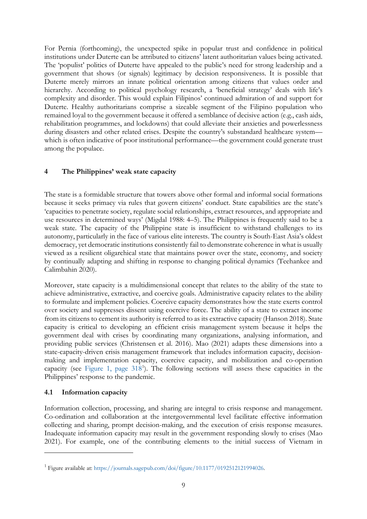For Pernia (forthcoming), the unexpected spike in popular trust and confidence in political institutions under Duterte can be attributed to citizens' latent authoritarian values being activated. The 'populist' politics of Duterte have appealed to the public's need for strong leadership and a government that shows (or signals) legitimacy by decision responsiveness. It is possible that Duterte merely mirrors an innate political orientation among citizens that values order and hierarchy. According to political psychology research, a 'beneficial strategy' deals with life's complexity and disorder. This would explain Filipinos' continued admiration of and support for Duterte. Healthy authoritarians comprise a sizeable segment of the Filipino population who remained loyal to the government because it offered a semblance of decisive action (e.g., cash aids, rehabilitation programmes, and lockdowns) that could alleviate their anxieties and powerlessness during disasters and other related crises. Despite the country's substandard healthcare system which is often indicative of poor institutional performance—the government could generate trust among the populace.

## **4 The Philippines' weak state capacity**

The state is a formidable structure that towers above other formal and informal social formations because it seeks primacy via rules that govern citizens' conduct. State capabilities are the state's 'capacities to penetrate society, regulate social relationships, extract resources, and appropriate and use resources in determined ways' (Migdal 1988: 4–5). The Philippines is frequently said to be a weak state. The capacity of the Philippine state is insufficient to withstand challenges to its autonomy, particularly in the face of various elite interests. The country is South-East Asia's oldest democracy, yet democratic institutions consistently fail to demonstrate coherence in what is usually viewed as a resilient oligarchical state that maintains power over the state, economy, and society by continually adapting and shifting in response to changing political dynamics (Teehankee and Calimbahin 2020).

Moreover, state capacity is a multidimensional concept that relates to the ability of the state to achieve administrative, extractive, and coercive goals. Administrative capacity relates to the ability to formulate and implement policies. Coercive capacity demonstrates how the state exerts control over society and suppresses dissent using coercive force. The ability of a state to extract income from its citizens to cement its authority is referred to as its extractive capacity (Hanson 2018). State capacity is critical to developing an efficient crisis management system because it helps the government deal with crises by coordinating many organizations, analysing information, and providing public services (Christensen et al. 2016). Mao (2021) adapts these dimensions into a state-capacity-driven crisis management framework that includes information capacity, decisionmaking and implementation capacity, coercive capacity, and mobilization and co-operation capacity (see Figure [1, page](https://journals.sagepub.com/doi/figure/10.1177/0192512121994026) 3[1](#page-10-0)8<sup>1</sup>). The following sections will assess these capacities in the Philippines' response to the pandemic.

#### **4.1 Information capacity**

Information collection, processing, and sharing are integral to crisis response and management. Co-ordination and collaboration at the intergovernmental level facilitate effective information collecting and sharing, prompt decision-making, and the execution of crisis response measures. Inadequate information capacity may result in the government responding slowly to crises (Mao 2021). For example, one of the contributing elements to the initial success of Vietnam in

<span id="page-10-0"></span><sup>1</sup> Figure available at: [https://journals.sagepub.com/doi/figure/10.1177/0192512121994026.](https://journals.sagepub.com/doi/figure/10.1177/0192512121994026)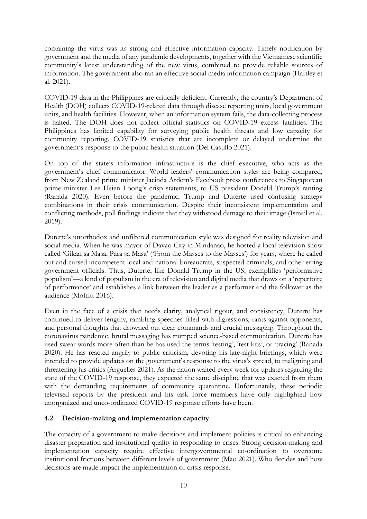containing the virus was its strong and effective information capacity. Timely notification by government and the media of any pandemic developments, together with the Vietnamese scientific community's latest understanding of the new virus, combined to provide reliable sources of information. The government also ran an effective social media information campaign (Hartley et al. 2021).

COVID-19 data in the Philippines are critically deficient. Currently, the country's Department of Health (DOH) collects COVID-19-related data through disease reporting units, local government units, and health facilities. However, when an information system fails, the data-collecting process is halted. The DOH does not collect official statistics on COVID-19 excess fatalities. The Philippines has limited capability for surveying public health threats and low capacity for community reporting. COVID-19 statistics that are incomplete or delayed undermine the government's response to the public health situation (Del Castillo 2021).

On top of the state's information infrastructure is the chief executive, who acts as the government's chief communicator. World leaders' communication styles are being compared, from New Zealand prime minister Jacinda Ardern's Facebook press conferences to Singaporean prime minister Lee Hsien Loong's crisp statements, to US president Donald Trump's ranting (Ranada 2020). Even before the pandemic, Trump and Duterte used confusing strategy combinations in their crisis communication. Despite their inconsistent implementation and conflicting methods, poll findings indicate that they withstood damage to their image (Ismail et al. 2019).

Duterte's unorthodox and unfiltered communication style was designed for reality television and social media. When he was mayor of Davao City in Mindanao, he hosted a local television show called 'Gikan sa Masa, Para sa Masa' ('From the Masses to the Masses') for years, where he called out and cursed incompetent local and national bureaucrats, suspected criminals, and other erring government officials. Thus, Duterte, like Donald Trump in the US, exemplifies 'performative populism'—a kind of populism in the era of television and digital media that draws on a 'repertoire of performance' and establishes a link between the leader as a performer and the follower as the audience (Moffitt 2016).

Even in the face of a crisis that needs clarity, analytical rigour, and consistency, Duterte has continued to deliver lengthy, rambling speeches filled with digressions, rants against opponents, and personal thoughts that drowned out clear commands and crucial messaging. Throughout the coronavirus pandemic, brutal messaging has trumped science-based communication. Duterte has used swear words more often than he has used the terms 'testing', 'test kits', or 'tracing' (Ranada 2020). He has reacted angrily to public criticism, devoting his late-night briefings, which were intended to provide updates on the government's response to the virus's spread, to maligning and threatening his critics (Arguelles 2021). As the nation waited every week for updates regarding the state of the COVID-19 response, they expected the same discipline that was exacted from them with the demanding requirements of community quarantine. Unfortunately, these periodic televised reports by the president and his task force members have only highlighted how unorganized and unco-ordinated COVID-19 response efforts have been.

#### **4.2 Decision-making and implementation capacity**

The capacity of a government to make decisions and implement policies is critical to enhancing disaster preparation and institutional quality in responding to crises. Strong decision-making and implementation capacity require effective intergovernmental co-ordination to overcome institutional frictions between different levels of government (Mao 2021). Who decides and how decisions are made impact the implementation of crisis response.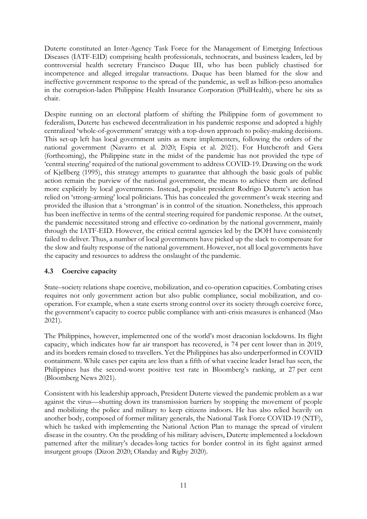Duterte constituted an Inter-Agency Task Force for the Management of Emerging Infectious Diseases (IATF-EID) comprising health professionals, technocrats, and business leaders, led by controversial health secretary Francisco Duque III, who has been publicly chastised for incompetence and alleged irregular transactions. Duque has been blamed for the slow and ineffective government response to the spread of the pandemic, as well as billion-peso anomalies in the corruption-laden Philippine Health Insurance Corporation (PhilHealth), where he sits as chair.

Despite running on an electoral platform of shifting the Philippine form of government to federalism, Duterte has eschewed decentralization in his pandemic response and adopted a highly centralized 'whole-of-government' strategy with a top-down approach to policy-making decisions. This set-up left has local government units as mere implementers, following the orders of the national government (Navarro et al. 2020; Espia et al. 2021). For Hutchcroft and Gera (forthcoming), the Philippine state in the midst of the pandemic has not provided the type of 'central steering' required of the national government to address COVID-19. Drawing on the work of Kjellberg (1995), this strategy attempts to guarantee that although the basic goals of public action remain the purview of the national government, the means to achieve them are defined more explicitly by local governments. Instead, populist president Rodrigo Duterte's action has relied on 'strong-arming' local politicians. This has concealed the government's weak steering and provided the illusion that a 'strongman' is in control of the situation. Nonetheless, this approach has been ineffective in terms of the central steering required for pandemic response. At the outset, the pandemic necessitated strong and effective co-ordination by the national government, mainly through the IATF-EID. However, the critical central agencies led by the DOH have consistently failed to deliver. Thus, a number of local governments have picked up the slack to compensate for the slow and faulty response of the national government. However, not all local governments have the capacity and resources to address the onslaught of the pandemic.

# **4.3 Coercive capacity**

State–society relations shape coercive, mobilization, and co-operation capacities. Combating crises requires not only government action but also public compliance, social mobilization, and cooperation. For example, when a state exerts strong control over its society through coercive force, the government's capacity to coerce public compliance with anti-crisis measures is enhanced (Mao 2021).

The Philippines, however, implemented one of the world's most draconian lockdowns. Its flight capacity, which indicates how far air transport has recovered, is 74 per cent lower than in 2019, and its borders remain closed to travellers. Yet the Philippines has also underperformed in COVID containment. While cases per capita are less than a fifth of what vaccine leader Israel has seen, the Philippines has the second-worst positive test rate in Bloomberg's ranking, at 27 per cent (Bloomberg News 2021).

Consistent with his leadership approach, President Duterte viewed the pandemic problem as a war against the virus—shutting down its transmission barriers by stopping the movement of people and mobilizing the police and military to keep citizens indoors. He has also relied heavily on another body, composed of former military generals, the National Task Force COVID-19 (NTF), which he tasked with implementing the National Action Plan to manage the spread of virulent disease in the country. On the prodding of his military advisers, Duterte implemented a lockdown patterned after the military's decades-long tactics for border control in its fight against armed insurgent groups (Dizon 2020; Olanday and Rigby 2020).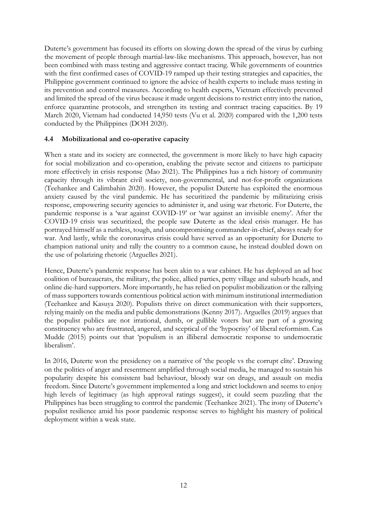Duterte's government has focused its efforts on slowing down the spread of the virus by curbing the movement of people through martial-law-like mechanisms. This approach, however, has not been combined with mass testing and aggressive contact tracing. While governments of countries with the first confirmed cases of COVID-19 ramped up their testing strategies and capacities, the Philippine government continued to ignore the advice of health experts to include mass testing in its prevention and control measures. According to health experts, Vietnam effectively prevented and limited the spread of the virus because it made urgent decisions to restrict entry into the nation, enforce quarantine protocols, and strengthen its testing and contract tracing capacities. By 19 March 2020, Vietnam had conducted 14,950 tests (Vu et al. 2020) compared with the 1,200 tests conducted by the Philippines (DOH 2020).

## **4.4 Mobilizational and co-operative capacity**

When a state and its society are connected, the government is more likely to have high capacity for social mobilization and co-operation, enabling the private sector and citizens to participate more effectively in crisis response (Mao 2021). The Philippines has a rich history of community capacity through its vibrant civil society, non-governmental, and not-for-profit organizations (Teehankee and Calimbahin 2020). However, the populist Duterte has exploited the enormous anxiety caused by the viral pandemic. He has securitized the pandemic by militarizing crisis response, empowering security agencies to administer it, and using war rhetoric. For Duterte, the pandemic response is a 'war against COVID-19' or 'war against an invisible enemy'. After the COVID-19 crisis was securitized, the people saw Duterte as the ideal crisis manager. He has portrayed himself as a ruthless, tough, and uncompromising commander-in-chief, always ready for war. And lastly, while the coronavirus crisis could have served as an opportunity for Duterte to champion national unity and rally the country to a common cause, he instead doubled down on the use of polarizing rhetoric (Arguelles 2021).

Hence, Duterte's pandemic response has been akin to a war cabinet. He has deployed an ad hoc coalition of bureaucrats, the military, the police, allied parties, petty village and suburb heads, and online die-hard supporters. More importantly, he has relied on populist mobilization or the rallying of mass supporters towards contentious political action with minimum institutional intermediation (Teehankee and Kasuya 2020). Populists thrive on direct communication with their supporters, relying mainly on the media and public demonstrations (Kenny 2017). Arguelles (2019) argues that the populist publics are not irrational, dumb, or gullible voters but are part of a growing constituency who are frustrated, angered, and sceptical of the 'hypocrisy' of liberal reformism. Cas Mudde (2015) points out that 'populism is an illiberal democratic response to undemocratic liberalism'.

In 2016, Duterte won the presidency on a narrative of 'the people vs the corrupt elite'. Drawing on the politics of anger and resentment amplified through social media, he managed to sustain his popularity despite his consistent bad behaviour, bloody war on drugs, and assault on media freedom. Since Duterte's government implemented a long and strict lockdown and seems to enjoy high levels of legitimacy (as high approval ratings suggest), it could seem puzzling that the Philippines has been struggling to control the pandemic (Teehankee 2021). The irony of Duterte's populist resilience amid his poor pandemic response serves to highlight his mastery of political deployment within a weak state.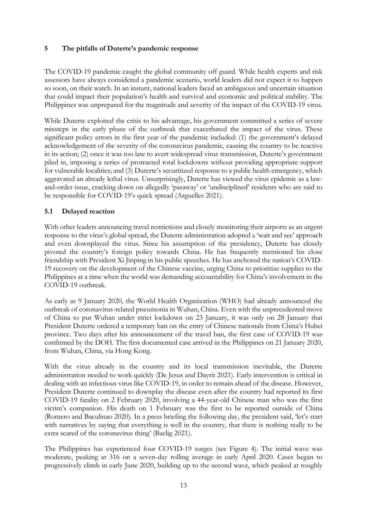## **5 The pitfalls of Duterte's pandemic response**

The COVID-19 pandemic caught the global community off guard. While health experts and risk assessors have always considered a pandemic scenario, world leaders did not expect it to happen so soon, on their watch. In an instant, national leaders faced an ambiguous and uncertain situation that could impact their population's health and survival and economic and political stability. The Philippines was unprepared for the magnitude and severity of the impact of the COVID-19 virus.

While Duterte exploited the crisis to his advantage, his government committed a series of severe missteps in the early phase of the outbreak that exacerbated the impact of the virus. These significant policy errors in the first year of the pandemic included: (1) the government's delayed acknowledgement of the severity of the coronavirus pandemic, causing the country to be reactive in its action; (2) once it was too late to avert widespread virus transmission, Duterte's government piled in, imposing a series of protracted total lockdowns without providing appropriate support for vulnerable localities; and (3) Duterte's securitized response to a public health emergency, which aggravated an already lethal virus. Unsurprisingly, Duterte has viewed the virus epidemic as a lawand-order issue, cracking down on allegedly 'pasaway' or 'undisciplined' residents who are said to be responsible for COVID-19's quick spread (Arguelles 2021).

## **5.1 Delayed reaction**

With other leaders announcing travel restrictions and closely monitoring their airports as an urgent response to the virus's global spread, the Duterte administration adopted a 'wait and see' approach and even downplayed the virus. Since his assumption of the presidency, Duterte has closely pivoted the country's foreign policy towards China. He has frequently mentioned his close friendship with President Xi Jinping in his public speeches. He has anchored the nation's COVID-19 recovery on the development of the Chinese vaccine, urging China to prioritize supplies to the Philippines at a time when the world was demanding accountability for China's involvement in the COVID-19 outbreak.

As early as 9 January 2020, the World Health Organization (WHO) had already announced the outbreak of coronavirus-related pneumonia in Wuhan, China. Even with the unprecedented move of China to put Wuhan under strict lockdown on 23 January, it was only on 28 January that President Duterte ordered a temporary ban on the entry of Chinese nationals from China's Hubei province. Two days after his announcement of the travel ban, the first case of COVID-19 was confirmed by the DOH. The first documented case arrived in the Philippines on 21 January 2020, from Wuhan, China, via Hong Kong.

With the virus already in the country and its local transmission inevitable, the Duterte administration needed to work quickly (De Jesus and Dayrit 2021). Early intervention is critical in dealing with an infectious virus like COVID-19, in order to remain ahead of the disease. However, President Duterte continued to downplay the disease even after the country had reported its first COVID-19 fatality on 2 February 2020, involving a 44-year-old Chinese man who was the first victim's companion. His death on 1 February was the first to be reported outside of China (Romero and Baculinao 2020). In a press briefing the following day, the president said, 'let's start with narratives by saying that everything is well in the country, that there is nothing really to be extra scared of the coronavirus thing' (Baclig 2021).

The Philippines has experienced four COVID-19 surges (see Figure 4). The initial wave was moderate, peaking at 316 on a seven-day rolling average in early April 2020. Cases began to progressively climb in early June 2020, building up to the second wave, which peaked at roughly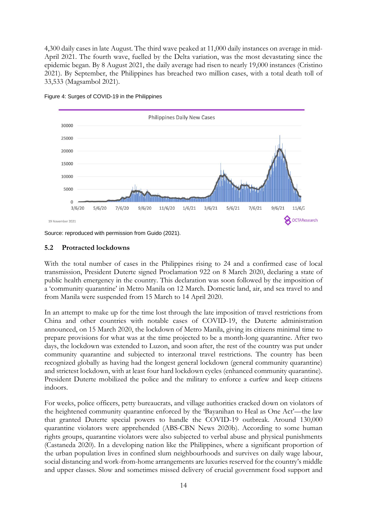4,300 daily cases in late August. The third wave peaked at 11,000 daily instances on average in mid-April 2021. The fourth wave, fuelled by the Delta variation, was the most devastating since the epidemic began. By 8 August 2021, the daily average had risen to nearly 19,000 instances (Cristino 2021). By September, the Philippines has breached two million cases, with a total death toll of 33,533 (Magsambol 2021).



Figure 4: Surges of COVID-19 in the Philippines

Source: reproduced with permission from Guido (2021).

#### **5.2 Protracted lockdowns**

With the total number of cases in the Philippines rising to 24 and a confirmed case of local transmission, President Duterte signed Proclamation 922 on 8 March 2020, declaring a state of public health emergency in the country. This declaration was soon followed by the imposition of a 'community quarantine' in Metro Manila on 12 March. Domestic land, air, and sea travel to and from Manila were suspended from 15 March to 14 April 2020.

In an attempt to make up for the time lost through the late imposition of travel restrictions from China and other countries with notable cases of COVID-19, the Duterte administration announced, on 15 March 2020, the lockdown of Metro Manila, giving its citizens minimal time to prepare provisions for what was at the time projected to be a month-long quarantine. After two days, the lockdown was extended to Luzon, and soon after, the rest of the country was put under community quarantine and subjected to interzonal travel restrictions. The country has been recognized globally as having had the longest general lockdown (general community quarantine) and strictest lockdown, with at least four hard lockdown cycles (enhanced community quarantine). President Duterte mobilized the police and the military to enforce a curfew and keep citizens indoors.

For weeks, police officers, petty bureaucrats, and village authorities cracked down on violators of the heightened community quarantine enforced by the 'Bayanihan to Heal as One Act'—the law that granted Duterte special powers to handle the COVID-19 outbreak. Around 130,000 quarantine violators were apprehended (ABS-CBN News 2020b). According to some human rights groups, quarantine violators were also subjected to verbal abuse and physical punishments (Castaneda 2020). In a developing nation like the Philippines, where a significant proportion of the urban population lives in confined slum neighbourhoods and survives on daily wage labour, social distancing and work-from-home arrangements are luxuries reserved for the country's middle and upper classes. Slow and sometimes missed delivery of crucial government food support and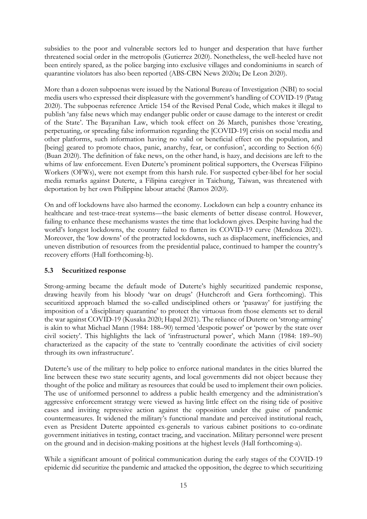subsidies to the poor and vulnerable sectors led to hunger and desperation that have further threatened social order in the metropolis (Gutierrez 2020). Nonetheless, the well-heeled have not been entirely spared, as the police barging into exclusive villages and condominiums in search of quarantine violators has also been reported (ABS-CBN News 2020a; De Leon 2020).

More than a dozen subpoenas were issued by the National Bureau of Investigation (NBI) to social media users who expressed their displeasure with the government's handling of COVID-19 (Patag 2020). The subpoenas reference Article 154 of the Revised Penal Code, which makes it illegal to publish 'any false news which may endanger public order or cause damage to the interest or credit of the State'. The Bayanihan Law, which took effect on 26 March, punishes those 'creating, perpetuating, or spreading false information regarding the [COVID-19] crisis on social media and other platforms, such information having no valid or beneficial effect on the population, and [being] geared to promote chaos, panic, anarchy, fear, or confusion', according to Section 6(6) (Buan 2020). The definition of fake news, on the other hand, is hazy, and decisions are left to the whims of law enforcement. Even Duterte's prominent political supporters, the Overseas Filipino Workers (OFWs), were not exempt from this harsh rule. For suspected cyber-libel for her social media remarks against Duterte, a Filipina caregiver in Taichung, Taiwan, was threatened with deportation by her own Philippine labour attaché (Ramos 2020).

On and off lockdowns have also harmed the economy. Lockdown can help a country enhance its healthcare and test-trace-treat systems—the basic elements of better disease control. However, failing to enhance these mechanisms wastes the time that lockdown gives. Despite having had the world's longest lockdowns, the country failed to flatten its COVID-19 curve (Mendoza 2021). Moreover, the 'low downs' of the protracted lockdowns, such as displacement, inefficiencies, and uneven distribution of resources from the presidential palace, continued to hamper the country's recovery efforts (Hall forthcoming-b).

# **5.3 Securitized response**

Strong-arming became the default mode of Duterte's highly securitized pandemic response, drawing heavily from his bloody 'war on drugs' (Hutchcroft and Gera forthcoming). This securitized approach blamed the so-called undisciplined others or 'pasaway' for justifying the imposition of a 'disciplinary quarantine' to protect the virtuous from those elements set to derail the war against COVID-19 (Kusaka 2020; Hapal 2021). The reliance of Duterte on 'strong-arming' is akin to what Michael Mann (1984: 188–90) termed 'despotic power' or 'power by the state over civil society'. This highlights the lack of 'infrastructural power', which Mann (1984: 189–90) characterized as the capacity of the state to 'centrally coordinate the activities of civil society through its own infrastructure'.

Duterte's use of the military to help police to enforce national mandates in the cities blurred the line between these two state security agents, and local governments did not object because they thought of the police and military as resources that could be used to implement their own policies. The use of uniformed personnel to address a public health emergency and the administration's aggressive enforcement strategy were viewed as having little effect on the rising tide of positive cases and inviting repressive action against the opposition under the guise of pandemic countermeasures. It widened the military's functional mandate and perceived institutional reach, even as President Duterte appointed ex-generals to various cabinet positions to co-ordinate government initiatives in testing, contact tracing, and vaccination. Military personnel were present on the ground and in decision-making positions at the highest levels (Hall forthcoming-a).

While a significant amount of political communication during the early stages of the COVID-19 epidemic did securitize the pandemic and attacked the opposition, the degree to which securitizing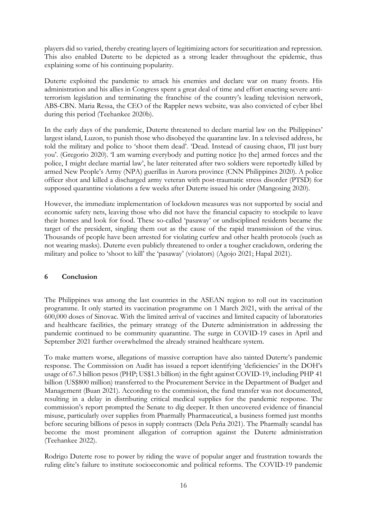players did so varied, thereby creating layers of legitimizing actors for securitization and repression. This also enabled Duterte to be depicted as a strong leader throughout the epidemic, thus explaining some of his continuing popularity.

Duterte exploited the pandemic to attack his enemies and declare war on many fronts. His administration and his allies in Congress spent a great deal of time and effort enacting severe antiterrorism legislation and terminating the franchise of the country's leading television network, ABS-CBN. Maria Ressa, the CEO of the Rappler news website, was also convicted of cyber libel during this period (Teehankee 2020b).

In the early days of the pandemic, Duterte threatened to declare martial law on the Philippines' largest island, Luzon, to punish those who disobeyed the quarantine law. In a televised address, he told the military and police to 'shoot them dead'. 'Dead. Instead of causing chaos, I'll just bury you'. (Gregorio 2020). 'I am warning everybody and putting notice [to the] armed forces and the police, I might declare martial law', he later reiterated after two soldiers were reportedly killed by armed New People's Army (NPA) guerillas in Aurora province (CNN Philippines 2020). A police officer shot and killed a discharged army veteran with post-traumatic stress disorder (PTSD) for supposed quarantine violations a few weeks after Duterte issued his order (Mangosing 2020).

However, the immediate implementation of lockdown measures was not supported by social and economic safety nets, leaving those who did not have the financial capacity to stockpile to leave their homes and look for food. These so-called 'pasaway' or undisciplined residents became the target of the president, singling them out as the cause of the rapid transmission of the virus. Thousands of people have been arrested for violating curfew and other health protocols (such as not wearing masks). Duterte even publicly threatened to order a tougher crackdown, ordering the military and police to 'shoot to kill' the 'pasaway' (violators) (Agojo 2021; Hapal 2021).

#### **6 Conclusion**

The Philippines was among the last countries in the ASEAN region to roll out its vaccination programme. It only started its vaccination programme on 1 March 2021, with the arrival of the 600,000 doses of Sinovac. With the limited arrival of vaccines and limited capacity of laboratories and healthcare facilities, the primary strategy of the Duterte administration in addressing the pandemic continued to be community quarantine. The surge in COVID-19 cases in April and September 2021 further overwhelmed the already strained healthcare system.

To make matters worse, allegations of massive corruption have also tainted Duterte's pandemic response. The Commission on Audit has issued a report identifying 'deficiencies' in the DOH's usage of 67.3 billion pesos (PHP; US\$1.3 billion) in the fight against COVID-19, including PHP 41 billion (US\$800 million) transferred to the Procurement Service in the Department of Budget and Management (Buan 2021). According to the commission, the fund transfer was not documented, resulting in a delay in distributing critical medical supplies for the pandemic response. The commission's report prompted the Senate to dig deeper. It then uncovered evidence of financial misuse, particularly over supplies from Pharmally Pharmaceutical, a business formed just months before securing billions of pesos in supply contracts (Dela Peña 2021). The Pharmally scandal has become the most prominent allegation of corruption against the Duterte administration (Teehankee 2022).

Rodrigo Duterte rose to power by riding the wave of popular anger and frustration towards the ruling elite's failure to institute socioeconomic and political reforms. The COVID-19 pandemic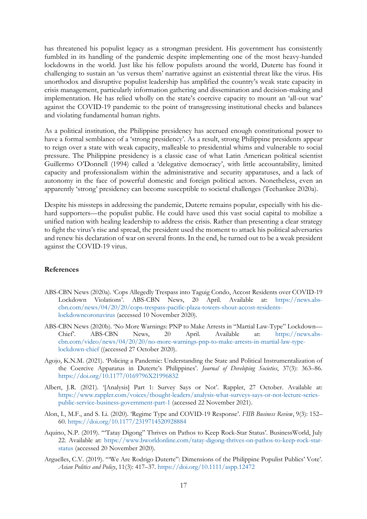has threatened his populist legacy as a strongman president. His government has consistently fumbled in its handling of the pandemic despite implementing one of the most heavy-handed lockdowns in the world. Just like his fellow populists around the world, Duterte has found it challenging to sustain an 'us versus them' narrative against an existential threat like the virus. His unorthodox and disruptive populist leadership has amplified the country's weak state capacity in crisis management, particularly information gathering and dissemination and decision-making and implementation. He has relied wholly on the state's coercive capacity to mount an 'all-out war' against the COVID-19 pandemic to the point of transgressing institutional checks and balances and violating fundamental human rights.

As a political institution, the Philippine presidency has accrued enough constitutional power to have a formal semblance of a 'strong presidency'. As a result, strong Philippine presidents appear to reign over a state with weak capacity, malleable to presidential whims and vulnerable to social pressure. The Philippine presidency is a classic case of what Latin American political scientist Guillermo O'Donnell (1994) called a 'delegative democracy', with little accountability, limited capacity and professionalism within the administrative and security apparatuses, and a lack of autonomy in the face of powerful domestic and foreign political actors. Nonetheless, even an apparently 'strong' presidency can become susceptible to societal challenges (Teehankee 2020a).

Despite his missteps in addressing the pandemic, Duterte remains popular, especially with his diehard supporters—the populist public. He could have used this vast social capital to mobilize a unified nation with healing leadership to address the crisis. Rather than presenting a clear strategy to fight the virus's rise and spread, the president used the moment to attack his political adversaries and renew his declaration of war on several fronts. In the end, he turned out to be a weak president against the COVID-19 virus.

#### **References**

- ABS-CBN News (2020a). 'Cops Allegedly Trespass into Taguig Condo, Accost Residents over COVID-19 Lockdown Violations'. ABS-CBN News, 20 April. Available at: [https://news.abs](https://news.abs-cbn.com/news/04/20/20/cops-trespass-pacific-plaza-towers-shout-accost-residents-lockdowncoronavirus)[cbn.com/news/04/20/20/cops-trespass-pacific-plaza-towers-shout-accost-residents](https://news.abs-cbn.com/news/04/20/20/cops-trespass-pacific-plaza-towers-shout-accost-residents-lockdowncoronavirus)[lockdowncoronavirus](https://news.abs-cbn.com/news/04/20/20/cops-trespass-pacific-plaza-towers-shout-accost-residents-lockdowncoronavirus) (accessed 10 November 2020).
- ABS-CBN News (2020b). 'No More Warnings: PNP to Make Arrests in "Martial Law-Type" Lockdown— Chief'. ABS-CBN News, 20 April. Available at: [https://news.abs](https://news.abs-cbn.com/video/news/04/20/20/no-more-warnings-pnp-to-make-arrests-in-martial-law-type-lockdown-chief)[cbn.com/video/news/04/20/20/no-more-warnings-pnp-to-make-arrests-in-martial-law-type](https://news.abs-cbn.com/video/news/04/20/20/no-more-warnings-pnp-to-make-arrests-in-martial-law-type-lockdown-chief)[lockdown-chief](https://news.abs-cbn.com/video/news/04/20/20/no-more-warnings-pnp-to-make-arrests-in-martial-law-type-lockdown-chief) ((accessed 27 October 2020).
- Agojo, K.N.M. (2021). 'Policing a Pandemic: Understanding the State and Political Instrumentalization of the Coercive Apparatus in Duterte's Philippines'. *Journal of Developing Societies*, 37(3): 363–86. <https://doi.org/10.1177/0169796X21996832>
- Albert, J.R. (2021). '[Analysis] Part 1: Survey Says or Not'. Rappler, 27 October. Available at: [https://www.rappler.com/voices/thought-leaders/analysis-what-surveys-says-or-not-lecture-series](https://www.rappler.com/voices/thought-leaders/analysis-what-surveys-says-or-not-lecture-series-public-service-business-government-part-1)[public-service-business-government-part-1](https://www.rappler.com/voices/thought-leaders/analysis-what-surveys-says-or-not-lecture-series-public-service-business-government-part-1) (accessed 22 November 2021).
- Alon, I., M.F., and S. Li. (2020). 'Regime Type and COVID-19 Response'. *FIIB Business Review*, 9(3): 152– 60. <https://doi.org/10.1177/2319714520928884>
- Aquino, N.P. (2019). '"Tatay Digong" Thrives on Pathos to Keep Rock-Star Status'. BusinessWorld, July 22. Available at: [https://www.bworldonline.com/tatay-digong-thrives-on-pathos-to-keep-rock-star](https://www.bworldonline.com/tatay-digong-thrives-on-pathos-to-keep-rock-star-status)[status](https://www.bworldonline.com/tatay-digong-thrives-on-pathos-to-keep-rock-star-status) (accessed 20 November 2020).
- Arguelles, C.V. (2019). '"We Are Rodrigo Duterte": Dimensions of the Philippine Populist Publics' Vote'. *Asian Politics and Policy*, 11(3): 417–37. <https://doi.org/10.1111/aspp.12472>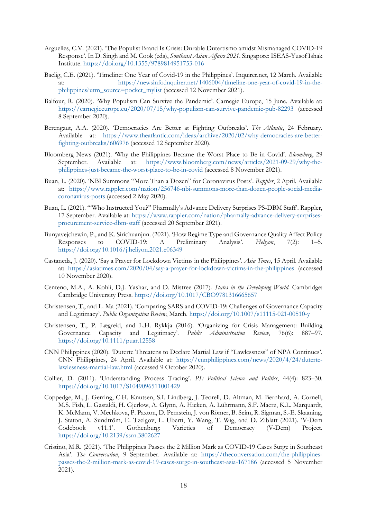- Arguelles, C.V. (2021). 'The Populist Brand Is Crisis: Durable Dutertismo amidst Mismanaged COVID-19 Response'. In D. Singh and M. Cook (eds), *Southeast Asian Affairs 2021*. Singapore: ISEAS-Yusof Ishak Institute. <https://doi.org/10.1355/9789814951753-016>
- Baclig, C.E. (2021). 'Timeline: One Year of Covid-19 in the Philippines'. Inquirer.net, 12 March. Available at: [https://newsinfo.inquirer.net/1406004/timeline-one-year-of-covid-19-in-the](https://newsinfo.inquirer.net/1406004/timeline-one-year-of-covid-19-in-the-philippines?utm_source=pocket_mylist)[philippines?utm\\_source=pocket\\_mylist](https://newsinfo.inquirer.net/1406004/timeline-one-year-of-covid-19-in-the-philippines?utm_source=pocket_mylist) (accessed 12 November 2021).
- Balfour, R. (2020). 'Why Populism Can Survive the Pandemic'. Carnegie Europe, 15 June. Available at: <https://carnegieeurope.eu/2020/07/15/why-populism-can-survive-pandemic-pub-82293> (accessed 8 September 2020).
- Berengaut, A.A. (2020). 'Democracies Are Better at Fighting Outbreaks'. *The Atlantic*, 24 February. Available at: [https://www.theatlantic.com/ideas/archive/2020/02/why-democracies-are-better](https://www.theatlantic.com/ideas/archive/2020/02/why-democracies-are-better-fighting-outbreaks/606976)[fighting-outbreaks/606976](https://www.theatlantic.com/ideas/archive/2020/02/why-democracies-are-better-fighting-outbreaks/606976) (accessed 12 September 2020).
- Bloomberg News (2021). 'Why the Philippines Became the Worst Place to Be in Covid'. *Bloomberg*, 29 September. Available at: [https://www.bloomberg.com/news/articles/2021-09-29/why-the](https://www.bloomberg.com/news/articles/2021-09-29/why-the-philippines-just-became-the-worst-place-to-be-in-covid)[philippines-just-became-the-worst-place-to-be-in-covid](https://www.bloomberg.com/news/articles/2021-09-29/why-the-philippines-just-became-the-worst-place-to-be-in-covid) (accessed 8 November 2021).
- Buan, L. (2020). 'NBI Summons "More Than a Dozen" for Coronavirus Posts'. *Rappler*, 2 April. Available at: [https://www.rappler.com/nation/256746-nbi-summons-more-than-dozen-people-social-media](https://www.rappler.com/nation/256746-nbi-summons-more-than-dozen-people-social-media-coronavirus-posts)[coronavirus-posts](https://www.rappler.com/nation/256746-nbi-summons-more-than-dozen-people-social-media-coronavirus-posts) (accessed 2 May 2020).
- Buan, L. (2021). '"Who Instructed You?" Pharmally's Advance Delivery Surprises PS-DBM Staff'. Rappler, 17 September. Available at: [https://www.rappler.com/nation/pharmally-advance-delivery-surprises](https://www.rappler.com/nation/pharmally-advance-delivery-surprises-procurement-service-dbm-staff)[procurement-service-dbm-staff](https://www.rappler.com/nation/pharmally-advance-delivery-surprises-procurement-service-dbm-staff) (accessed 20 September 2021).
- Bunyavejchewin, P., and K. Sirichuanjun. (2021). 'How Regime Type and Governance Quality Affect Policy Responses to COVID-19: A Preliminary Analysis'. *Heliyon*, 7(2): 1–5. <https://doi.org/10.1016/j.heliyon.2021.e06349>
- Castaneda, J. (2020). 'Say a Prayer for Lockdown Victims in the Philippines'. *Asia Times*, 15 April. Available at: <https://asiatimes.com/2020/04/say-a-prayer-for-lockdown-victims-in-the-philippines> (accessed 10 November 2020).
- Centeno, M.A., A. Kohli, D.J. Yashar, and D. Mistree (2017)*. States in the Developing World*. Cambridge: Cambridge University Press. <https://doi.org/10.1017/CBO9781316665657>
- Christensen, T., and L. Ma (2021). 'Comparing SARS and COVID-19: Challenges of Governance Capacity and Legitimacy'. *Public Organization Review*, March.<https://doi.org/10.1007/s11115-021-00510-y>
- Christensen, T., P. Lægreid, and L.H. Rykkja (2016). 'Organizing for Crisis Management: Building Governance Capacity and Legitimacy'. *Public Administration Review*, 76(6): 887–97. <https://doi.org/10.1111/puar.12558>
- CNN Philippines (2020). 'Duterte Threatens to Declare Martial Law if "Lawlessness" of NPA Continues'. CNN Philippines, 24 April. Available at: [https://cnnphilippines.com/news/2020/4/24/duterte](https://cnnphilippines.com/news/2020/4/24/duterte-lawlessness-martial-law.html)[lawlessness-martial-law.html](https://cnnphilippines.com/news/2020/4/24/duterte-lawlessness-martial-law.html) (accessed 9 October 2020).
- Collier, D. (2011). 'Understanding Process Tracing'. *PS: Political Science and Politics*, 44(4): 823–30. <https://doi.org/10.1017/S1049096511001429>
- Coppedge, M., J. Gerring, C.H. Knutsen, S.I. Lindberg, J. Teorell, D. Altman, M. Bernhard, A. Cornell, M.S. Fish, L. Gastaldi, H. Gjerløw, A. Glynn, A. Hicken, A. Lührmann, S.F. Maerz, K.L. Marquardt, K. McMann, V. Mechkova, P. Paxton, D. Pemstein, J. von Römer, B. Seim, R. Sigman, S.-E. Skaaning, J. Staton, A. Sundtröm, E. Tzelgov, L. Uberti, Y. Wang, T. Wig, and D. Ziblatt (2021). 'V-Dem Codebook v11.1'. Gothenburg: Varieties of Democracy (V-Dem) Project. <https://doi.org/10.2139/ssrn.3802627>
- Cristino, M.R. (2021). 'The Philippines Passes the 2 Million Mark as COVID-19 Cases Surge in Southeast Asia'. *The Conversation*, 9 September. Available at: [https://theconversation.com/the-philippines](https://theconversation.com/the-philippines-passes-the-2-million-mark-as-covid-19-cases-surge-in-southeast-asia-167186)[passes-the-2-million-mark-as-covid-19-cases-surge-in-southeast-asia-167186](https://theconversation.com/the-philippines-passes-the-2-million-mark-as-covid-19-cases-surge-in-southeast-asia-167186) (accessed 5 November 2021).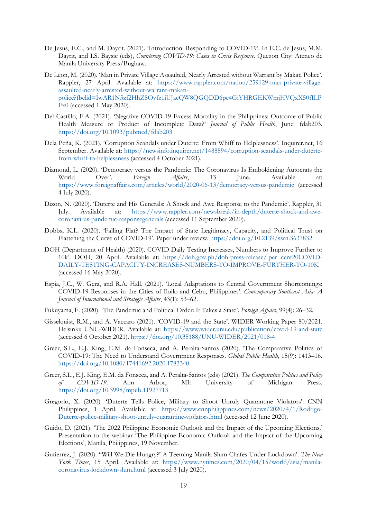- De Jesus, E.C., and M. Dayrit. (2021). 'Introduction: Responding to COVID-19'. In E.C. de Jesus, M.M. Dayrit, and I.S. Baysic (eds), *Countering COVID-19: Cases in Crisis Response*. Quezon City: Ateneo de Manila University Press/Bughaw.
- De Leon, M. (2020). 'Man in Private Village Assaulted, Nearly Arrested without Warrant by Makati Police'. Rappler, 27 April. Available at: [https://www.rappler.com/nation/259129-man-private-village](https://www.rappler.com/nation/259129-man-private-village-assaulted-nearly-arrested-without-warrant-makati-police?fbclid=IwAR1N5zf2HhZSOvfz1iUJacQW8QGQDD6pe4GiYHRGEKWmjHVQxX50fILPFx0)[assaulted-nearly-arrested-without-warrant-makati](https://www.rappler.com/nation/259129-man-private-village-assaulted-nearly-arrested-without-warrant-makati-police?fbclid=IwAR1N5zf2HhZSOvfz1iUJacQW8QGQDD6pe4GiYHRGEKWmjHVQxX50fILPFx0)[police?fbclid=IwAR1N5zf2HhZSOvfz1iUJacQW8QGQDD6pe4GiYHRGEKWmjHVQxX50fILP](https://www.rappler.com/nation/259129-man-private-village-assaulted-nearly-arrested-without-warrant-makati-police?fbclid=IwAR1N5zf2HhZSOvfz1iUJacQW8QGQDD6pe4GiYHRGEKWmjHVQxX50fILPFx0) [Fx0](https://www.rappler.com/nation/259129-man-private-village-assaulted-nearly-arrested-without-warrant-makati-police?fbclid=IwAR1N5zf2HhZSOvfz1iUJacQW8QGQDD6pe4GiYHRGEKWmjHVQxX50fILPFx0) (accessed 1 May 2020).
- Del Castillo, F.A. (2021). 'Negative COVID-19 Excess Mortality in the Philippines: Outcome of Public Health Measure or Product of Incomplete Data?' *Journal of Public Health*, June: fdab203. <https://doi.org/10.1093/pubmed/fdab203>
- Dela Peña, K. (2021). 'Corruption Scandals under Duterte: From Whiff to Helplessness'. Inquirer.net, 16 September. Available at: [https://newsinfo.inquirer.net/1488894/corruption-scandals-under-duterte](https://newsinfo.inquirer.net/1488894/corruption-scandals-under-duterte-from-whiff-to-helplessness)[from-whiff-to-helplessness](https://newsinfo.inquirer.net/1488894/corruption-scandals-under-duterte-from-whiff-to-helplessness) (accessed 4 October 2021).
- Diamond, L. (2020). 'Democracy versus the Pandemic: The Coronavirus Is Emboldening Autocrats the World Over'. *Foreign Affairs*, 13 June. Available at: <https://www.foreignaffairs.com/articles/world/2020-06-13/democracy-versus-pandemic> (accessed 4 July 2020).
- Dizon, N. (2020). 'Duterte and His Generals: A Shock and Awe Response to the Pandemic'. Rappler, 31 July. Available at: [https://www.rappler.com/newsbreak/in-depth/duterte-shock-and-awe](https://www.rappler.com/newsbreak/in-depth/duterte-shock-and-awe-coronavirus-pandemic-responsegenerals)[coronavirus-pandemic-responsegenerals](https://www.rappler.com/newsbreak/in-depth/duterte-shock-and-awe-coronavirus-pandemic-responsegenerals) (accessed 11 September 2020).
- Dobbs, K.L. (2020). 'Falling Flat? The Impact of State Legitimacy, Capacity, and Political Trust on Flattening the Curve of COVID-19'. Paper under review.<https://doi.org/10.2139/ssrn.3637832>
- DOH (Department of Health) (2020). COVID Daily Testing Increases, Numbers to Improve Further to 10k'. DOH, 20 April. Available at: https://doh.gov.ph/doh-press-release/ per cent20COVID-DAILY-TESTING-CAPACITY-INCREASES-NUMBERS-TO-IMPROVE-FURTHER-TO-10K (accessed 16 May 2020).
- Espia, J.C., W. Gera, and R.A. Hall. (2021). 'Local Adaptations to Central Government Shortcomings: COVID-19 Responses in the Cities of Iloilo and Cebu, Philippines'. *Contemporary Southeast Asia: A Journal of International and Strategic Affairs*, 43(1): 53–62.
- Fukuyama, F. (2020). 'The Pandemic and Political Order: It Takes a State'. *Foreign Affairs*, 99(4): 26–32.
- Gisselquist, R.M., and A. Vaccaro (2021). 'COVID-19 and the State'. WIDER Working Paper 80/2021. Helsinki: UNU-WIDER. Available at: <https://www.wider.unu.edu/publication/covid-19-and-state> (accessed 6 October 2021). <https://doi.org/10.35188/UNU-WIDER/2021/018-4>
- Greer, S.L., E.J. King, E.M. da Fonseca, and A. Peralta-Santos (2020). 'The Comparative Politics of COVID-19: The Need to Understand Government Responses. *Global Public Health*, 15(9): 1413–16. <https://doi.org/10.1080/17441692.2020.1783340>
- Greer, S.L., E.J. King, E.M. da Fonseca, and A. Peralta-Santos (eds) (2021). *The Comparative Politics and Policy of COVID-19*. Ann Arbor, MI: University of Michigan Press. <https://doi.org/10.3998/mpub.11927713>
- Gregorio, X. (2020). 'Duterte Tells Police, Military to Shoot Unruly Quarantine Violators'. CNN Philippines, 1 April. Available at: [https://www.cnnphilippines.com/news/2020/4/1/Rodrigo-](https://www.cnnphilippines.com/news/2020/4/1/Rodrigo-Duterte-police-military-shoot-unruly-quarantine-violators.html)[Duterte-police-military-shoot-unruly-quarantine-violators.html](https://www.cnnphilippines.com/news/2020/4/1/Rodrigo-Duterte-police-military-shoot-unruly-quarantine-violators.html) (accessed 12 June 2020).
- Guido, D. (2021). 'The 2022 Philippine Economic Outlook and the Impact of the Upcoming Elections.' Presentation to the webinar 'The Philippine Economic Outlook and the Impact of the Upcoming Elections', Manila, Philippines, 19 November.
- Gutierrez, J. (2020). ''Will We Die Hungry?' A Teeming Manila Slum Chafes Under Lockdown'. *The New York Times*, 15 April. Available at: [https://www.nytimes.com/2020/04/15/world/asia/manila](https://www.nytimes.com/2020/04/15/world/asia/manila-coronavirus-lockdown-slum.html)[coronavirus-lockdown-slum.html](https://www.nytimes.com/2020/04/15/world/asia/manila-coronavirus-lockdown-slum.html) (accessed 3 July 2020).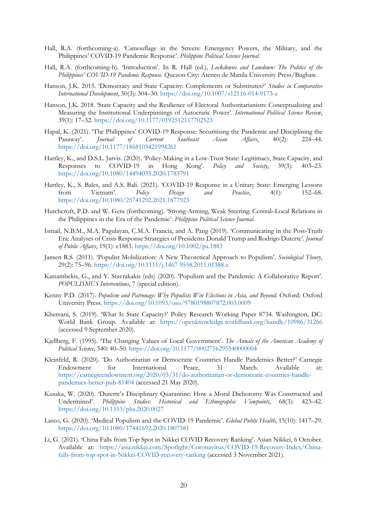- Hall, R.A. (forthcoming-a). 'Camouflage in the Streets: Emergency Powers, the Military, and the Philippines' COVID-19 Pandemic Response'. *Philippine Political Science Journal*.
- Hall, R.A. (forthcoming-b). 'Introduction'. In R. Hall (ed.), *Lockdowns and Lowdown: The Politics of the Philippines' COVID-19 Pandemic Response*. Quezon City: Ateneo de Manila University Press/Bughaw.
- Hanson, J.K. 2015. 'Democracy and State Capacity: Complements or Substitutes?' *Studies in Comparative International Development*, 50(3): 304–30. <https://doi.org/10.1007/s12116-014-9173-z>
- Hanson, J.K. 2018. 'State Capacity and the Resilience of Electoral Authoritarianism: Conceptualizing and Measuring the Institutional Underpinnings of Autocratic Power'. *International Political Science Review*, 39(1): 17–32. <https://doi.org/10.1177/0192512117702523>
- Hapal, K. (2021). 'The Philippines' COVID-19 Response: Securitising the Pandemic and Disciplining the Pasaway'. *Journal of Current Southeast Asian Affairs*, 40(2): 224–44. <https://doi.org/10.1177/1868103421994261>
- Hartley, K., and D.S.L. Jarvis. (2020). 'Policy-Making in a Low-Trust State: Legitimacy, State Capacity, and Responses to COVID-19 in Hong Kong'. *Policy and Society*, 39(3): 403–23. <https://doi.org/10.1080/14494035.2020.1783791>
- Hartley, K., S. Bales, and A.S. Bali. (2021). 'COVID-19 Response in a Unitary State: Emerging Lessons from Vietnam'. *Policy Design and Practice*, 4(1): 152–68. <https://doi.org/10.1080/25741292.2021.1877923>
- Hutchcroft, P.D. and W. Gera (forthcoming). 'Strong-Arming, Weak Steering: Central–Local Relations in the Philippines in the Era of the Pandemic'. *Philippine Political Science Journal*.
- Ismail, N.B.M., M.A. Pagulayan, C.M.A. Francia, and A. Pang (2019). 'Communicating in the Post‐Truth Era: Analyses of Crisis Response Strategies of Presidents Donald Trump and Rodrigo Duterte'. *Journal of Public Affairs*, 19(1): e1883. <https://doi.org/10.1002/pa.1883>
- Jansen R.S. (2011). 'Populist Mobilization: A New Theoretical Approach to Populism'. *Sociological Theory*, 29(2): 75–96. <https://doi.org/10.1111/j.1467-9558.2011.01388.x>
- Katsambekis, G., and Y. Stavrakakis (eds) (2020). 'Populism and the Pandemic: A Collaborative Report'. *POPULISMUS Interventions*, 7 (special edition).
- Kenny P.D. (2017). *Populism and Patronage: Why Populists Win Elections in Asia, and Beyond*. Oxford: Oxford University Press. <https://doi.org/10.1093/oso/9780198807872.003.0009>
- Khemani, S. (2019). 'What Is State Capacity?' Policy Research Working Paper 8734. Washington, DC: World Bank Group. Available at: <https://openknowledge.worldbank.org/handle/10986/31266> (accessed 9 September 2020).
- Kjellberg, F. (1995). 'The Changing Values of Local Government'. *The Annals of the American Academy of Political Science*, 540: 40–50. <https://doi.org/10.1177/0002716295540000004>
- Kleinfeld, R. (2020). 'Do Authoritarian or Democratic Countries Handle Pandemics Better?' Carnegie Endowment for International Peace, 31 March. Available at: [https://carnegieendowment.org/2020/03/31/do-authoritarian-or-democratic-countries-handle](https://carnegieendowment.org/2020/03/31/do-authoritarian-or-democratic-countries-handle-pandemics-better-pub-81404)[pandemics-better-pub-81404](https://carnegieendowment.org/2020/03/31/do-authoritarian-or-democratic-countries-handle-pandemics-better-pub-81404) (accessed 21 May 2020).
- Kusaka, W. (2020). 'Duterte's Disciplinary Quarantine: How a Moral Dichotomy Was Constructed and Undermined'. *Philippine Studies: Historical and Ethnographic Viewpoints*, 68(3): 423–42. <https://doi.org/10.1353/phs.2020.0027>
- Lasco, G. (2020). 'Medical Populism and the COVID-19 Pandemic'. *Global Public Health*, 15(10): 1417–29. <https://doi.org/10.1080/17441692.2020.1807581>
- Li, G. (2021). 'China Falls from Top Spot in Nikkei COVID Recovery Ranking'. Asian Nikkei, 6 October. Available at: [https://asia.nikkei.com/Spotlight/Coronavirus/COVID-19-Recovery-Index/China](https://asia.nikkei.com/Spotlight/Coronavirus/COVID-19-Recovery-Index/China-falls-from-top-spot-in-Nikkei-COVID-recovery-ranking)[falls-from-top-spot-in-Nikkei-COVID-recovery-ranking](https://asia.nikkei.com/Spotlight/Coronavirus/COVID-19-Recovery-Index/China-falls-from-top-spot-in-Nikkei-COVID-recovery-ranking) (accessed 3 November 2021).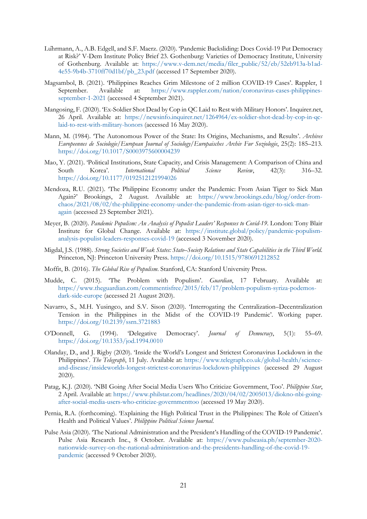- Lührmann, A., A.B. Edgell, and S.F. Maerz. (2020). 'Pandemic Backsliding: Does Covid-19 Put Democracy at Risk?' V-Dem Institute Policy Brief 23. Gothenburg: Varieties of Democracy Institute, University of Gothenburg. Available at: [https://www.v-dem.net/media/filer\\_public/52/eb/52eb913a-b1ad-](https://www.v-dem.net/media/filer_public/52/eb/52eb913a-b1ad-4e55-9b4b-3710ff70d1bf/pb_23.pdf)[4e55-9b4b-3710ff70d1bf/pb\\_23.pdf](https://www.v-dem.net/media/filer_public/52/eb/52eb913a-b1ad-4e55-9b4b-3710ff70d1bf/pb_23.pdf) (accessed 17 September 2020).
- Magsambol, B. (2021). 'Philippines Reaches Grim Milestone of 2 million COVID-19 Cases'. Rappler, 1 September. Available at: [https://www.rappler.com/nation/coronavirus-cases-philippines](https://www.rappler.com/nation/coronavirus-cases-philippines-september-1-2021)[september-1-2021](https://www.rappler.com/nation/coronavirus-cases-philippines-september-1-2021) (accessed 4 September 2021).
- Mangosing, F. (2020). 'Ex-Soldier Shot Dead by Cop in QC Laid to Rest with Military Honors'. Inquirer.net, 26 April. Available at: [https://newsinfo.inquirer.net/1264964/ex-soldier-shot-dead-by-cop-in-qc](https://newsinfo.inquirer.net/1264964/ex-soldier-shot-dead-by-cop-in-qc-laid-to-rest-with-military-honors)[laid-to-rest-with-military-honors](https://newsinfo.inquirer.net/1264964/ex-soldier-shot-dead-by-cop-in-qc-laid-to-rest-with-military-honors) (accessed 16 May 2020).
- Mann, M. (1984). 'The Autonomous Power of the State: Its Origins, Mechanisms, and Results'. *Archives Europeennes de Sociologie*/*European Journal of Sociology*/*Europaisches Archiv Fur Soziologie*, 25(2): 185–213. <https://doi.org/10.1017/S0003975600004239>
- Mao, Y. (2021). 'Political Institutions, State Capacity, and Crisis Management: A Comparison of China and South Korea'. *International Political Science Review*, 42(3): 316–32. <https://doi.org/10.1177/0192512121994026>
- Mendoza, R.U. (2021). 'The Philippine Economy under the Pandemic: From Asian Tiger to Sick Man Again?' Brookings, 2 August. Available at: [https://www.brookings.edu/blog/order-from](https://www.brookings.edu/blog/order-from-chaos/2021/08/02/the-philippine-economy-under-the-pandemic-from-asian-tiger-to-sick-man-again)[chaos/2021/08/02/the-philippine-economy-under-the-pandemic-from-asian-tiger-to-sick-man](https://www.brookings.edu/blog/order-from-chaos/2021/08/02/the-philippine-economy-under-the-pandemic-from-asian-tiger-to-sick-man-again)[again](https://www.brookings.edu/blog/order-from-chaos/2021/08/02/the-philippine-economy-under-the-pandemic-from-asian-tiger-to-sick-man-again) (accessed 23 September 2021).
- Meyer, B. (2020). *Pandemic Populism: An Analysis of Populist Leaders' Responses to Covid-19*. London: Tony Blair Institute for Global Change. Available at: [https://institute.global/policy/pandemic-populism](https://institute.global/policy/pandemic-populism-analysis-populist-leaders-responses-covid-19)[analysis-populist-leaders-responses-covid-19](https://institute.global/policy/pandemic-populism-analysis-populist-leaders-responses-covid-19) (accessed 3 November 2020).
- Migdal, J.S. (1988). *Strong Societies and Weak States: State–Society Relations and State Capabilities in the Third World*. Princeton, NJ: Princeton University Press. <https://doi.org/10.1515/9780691212852>
- Moffit, B. (2016). *The Global Rise of Populism*. Stanford, CA: Stanford University Press.
- Mudde, C. (2015). 'The Problem with Populism'. *Guardian*, 17 February. Available at: [https://www.theguardian.com/commentisfree/2015/feb/17/problem-populism-syriza-podemos](https://www.theguardian.com/commentisfree/2015/feb/17/problem-populism-syriza-podemos-dark-side-europe)[dark-side-europe](https://www.theguardian.com/commentisfree/2015/feb/17/problem-populism-syriza-podemos-dark-side-europe) (accessed 21 August 2020).
- Navarro, S., M.H. Yusingco, and S.V. Sison (2020). 'Interrogating the Centralization–Decentralization Tension in the Philippines in the Midst of the COVID-19 Pandemic'. Working paper. <https://doi.org/10.2139/ssrn.3721883>
- O'Donnell, G. (1994). 'Delegative Democracy'. *Journal of Democracy*, 5(1): 55–69. <https://doi.org/10.1353/jod.1994.0010>
- Olanday, D., and J. Rigby (2020). 'Inside the World's Longest and Strictest Coronavirus Lockdown in the Philippines'. *The Telegraph*, 11 July. Available at: [https://www.telegraph.co.uk/global-health/science](https://www.telegraph.co.uk/global-health/science-and-disease/insideworlds-longest-strictest-coronavirus-lockdown-philippines)[and-disease/insideworlds-longest-strictest-coronavirus-lockdown-philippines](https://www.telegraph.co.uk/global-health/science-and-disease/insideworlds-longest-strictest-coronavirus-lockdown-philippines) (accessed 29 August 2020).
- Patag, K.J. (2020). 'NBI Going After Social Media Users Who Criticize Government, Too'. *Philippine Star*, 2 April. Available at[: https://www.philstar.com/headlines/2020/04/02/2005013/diokno-nbi-going](https://www.philstar.com/headlines/2020/04/02/2005013/diokno-nbi-going-after-social-media-users-who-criticize-governmenttoo)[after-social-media-users-who-criticize-governmenttoo](https://www.philstar.com/headlines/2020/04/02/2005013/diokno-nbi-going-after-social-media-users-who-criticize-governmenttoo) (accessed 19 May 2020).
- Pernia, R.A. (forthcoming). 'Explaining the High Political Trust in the Philippines: The Role of Citizen's Health and Political Values'. *Philippine Political Science Journal*.
- Pulse Asia (2020). 'The National Administration and the President's Handling of the COVID-19 Pandemic'. Pulse Asia Research Inc., 8 October. Available at: [https://www.pulseasia.ph/september-2020](https://www.pulseasia.ph/september-2020-nationwide-survey-on-the-national-administration-and-the-presidents-handling-of-the-covid-19-pandemic) [nationwide-survey-on-the-national-administration-and-the-presidents-handling-of-the-covid-19](https://www.pulseasia.ph/september-2020-nationwide-survey-on-the-national-administration-and-the-presidents-handling-of-the-covid-19-pandemic) [pandemic](https://www.pulseasia.ph/september-2020-nationwide-survey-on-the-national-administration-and-the-presidents-handling-of-the-covid-19-pandemic) (accessed 9 October 2020).